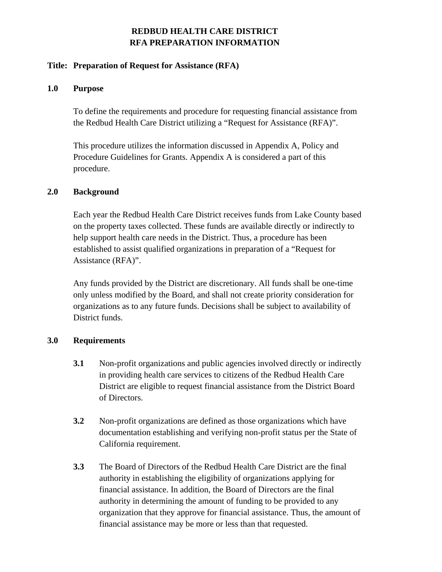# **REDBUD HEALTH CARE DISTRICT RFA PREPARATION INFORMATION**

### **Title: Preparation of Request for Assistance (RFA)**

### **1.0 Purpose**

To define the requirements and procedure for requesting financial assistance from the Redbud Health Care District utilizing a "Request for Assistance (RFA)".

This procedure utilizes the information discussed in Appendix A, Policy and Procedure Guidelines for Grants. Appendix A is considered a part of this procedure.

### **2.0 Background**

Each year the Redbud Health Care District receives funds from Lake County based on the property taxes collected. These funds are available directly or indirectly to help support health care needs in the District. Thus, a procedure has been established to assist qualified organizations in preparation of a "Request for Assistance (RFA)".

Any funds provided by the District are discretionary. All funds shall be one-time only unless modified by the Board, and shall not create priority consideration for organizations as to any future funds. Decisions shall be subject to availability of District funds.

# **3.0 Requirements**

- **3.1** Non-profit organizations and public agencies involved directly or indirectly in providing health care services to citizens of the Redbud Health Care District are eligible to request financial assistance from the District Board of Directors.
- **3.2** Non-profit organizations are defined as those organizations which have documentation establishing and verifying non-profit status per the State of California requirement.
- **3.3** The Board of Directors of the Redbud Health Care District are the final authority in establishing the eligibility of organizations applying for financial assistance. In addition, the Board of Directors are the final authority in determining the amount of funding to be provided to any organization that they approve for financial assistance. Thus, the amount of financial assistance may be more or less than that requested.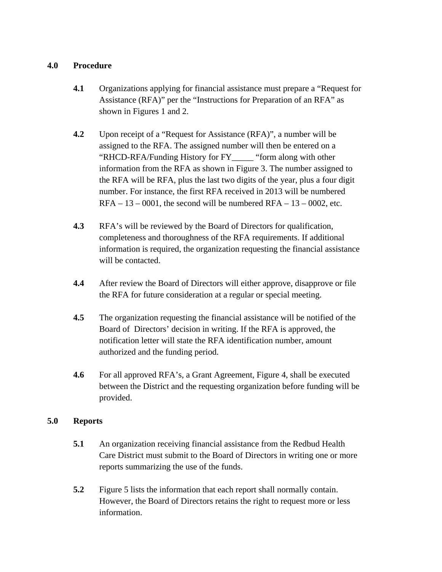# **4.0 Procedure**

- **4.1** Organizations applying for financial assistance must prepare a "Request for Assistance (RFA)" per the "Instructions for Preparation of an RFA" as shown in Figures 1 and 2.
- **4.2** Upon receipt of a "Request for Assistance (RFA)", a number will be assigned to the RFA. The assigned number will then be entered on a "RHCD-RFA/Funding History for FY\_\_\_\_\_ "form along with other information from the RFA as shown in Figure 3. The number assigned to the RFA will be RFA, plus the last two digits of the year, plus a four digit number. For instance, the first RFA received in 2013 will be numbered  $RFA - 13 - 0001$ , the second will be numbered  $RFA - 13 - 0002$ , etc.
- **4.3** RFA's will be reviewed by the Board of Directors for qualification, completeness and thoroughness of the RFA requirements. If additional information is required, the organization requesting the financial assistance will be contacted.
- **4.4** After review the Board of Directors will either approve, disapprove or file the RFA for future consideration at a regular or special meeting.
- **4.5** The organization requesting the financial assistance will be notified of the Board of Directors' decision in writing. If the RFA is approved, the notification letter will state the RFA identification number, amount authorized and the funding period.
- **4.6** For all approved RFA's, a Grant Agreement, Figure 4, shall be executed between the District and the requesting organization before funding will be provided.

# **5.0 Reports**

- **5.1** An organization receiving financial assistance from the Redbud Health Care District must submit to the Board of Directors in writing one or more reports summarizing the use of the funds.
- **5.2** Figure 5 lists the information that each report shall normally contain. However, the Board of Directors retains the right to request more or less information.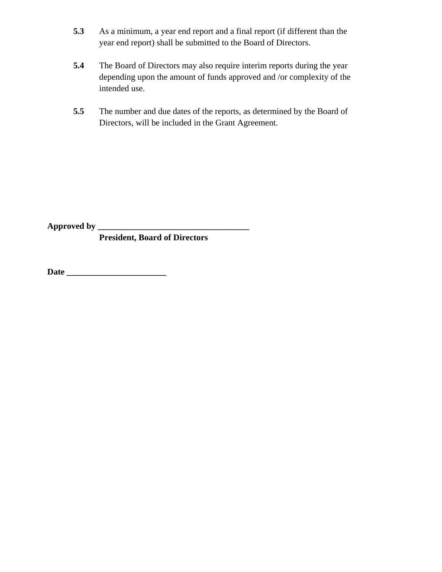- **5.3** As a minimum, a year end report and a final report (if different than the year end report) shall be submitted to the Board of Directors.
- **5.4** The Board of Directors may also require interim reports during the year depending upon the amount of funds approved and /or complexity of the intended use.
- **5.5** The number and due dates of the reports, as determined by the Board of Directors, will be included in the Grant Agreement.

**Approved by \_\_\_\_\_\_\_\_\_\_\_\_\_\_\_\_\_\_\_\_\_\_\_\_\_\_\_\_\_\_\_\_\_\_\_** 

 **President, Board of Directors** 

**Date \_\_\_\_\_\_\_\_\_\_\_\_\_\_\_\_\_\_\_\_\_\_\_**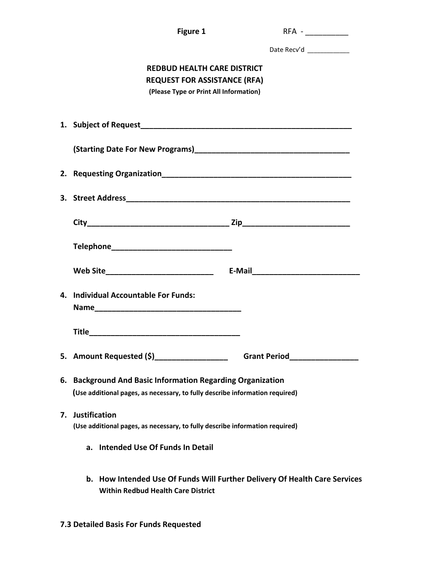|    | <b>Figure 1</b>                                                                                                                            | $RFA -$                                                                    |  |
|----|--------------------------------------------------------------------------------------------------------------------------------------------|----------------------------------------------------------------------------|--|
|    |                                                                                                                                            | Date Recv'd                                                                |  |
|    | <b>REDBUD HEALTH CARE DISTRICT</b><br><b>REQUEST FOR ASSISTANCE (RFA)</b><br>(Please Type or Print All Information)                        |                                                                            |  |
|    |                                                                                                                                            |                                                                            |  |
|    |                                                                                                                                            |                                                                            |  |
|    |                                                                                                                                            |                                                                            |  |
|    |                                                                                                                                            |                                                                            |  |
|    |                                                                                                                                            |                                                                            |  |
|    |                                                                                                                                            |                                                                            |  |
|    |                                                                                                                                            |                                                                            |  |
|    | 4. Individual Accountable For Funds:                                                                                                       |                                                                            |  |
|    |                                                                                                                                            |                                                                            |  |
|    | 5. Amount Requested (\$) ________________                                                                                                  | <b>Grant Period</b>                                                        |  |
|    | 6. Background And Basic Information Regarding Organization<br>(Use additional pages, as necessary, to fully describe information required) |                                                                            |  |
| 7. | <b>Justification</b><br>(Use additional pages, as necessary, to fully describe information required)                                       |                                                                            |  |
|    | <b>Intended Use Of Funds In Detail</b><br>а.                                                                                               |                                                                            |  |
|    | <b>Within Redbud Health Care District</b>                                                                                                  | b. How Intended Use Of Funds Will Further Delivery Of Health Care Services |  |

**7.3 Detailed Basis For Funds Requested**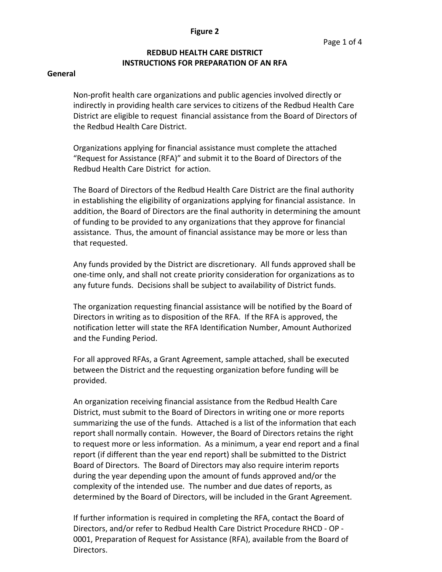#### **Figure 2**

# **REDBUD HEALTH CARE DISTRICT INSTRUCTIONS FOR PREPARATION OF AN RFA**

#### **General**

Non‐profit health care organizations and public agencies involved directly or indirectly in providing health care services to citizens of the Redbud Health Care District are eligible to request financial assistance from the Board of Directors of the Redbud Health Care District.

Organizations applying for financial assistance must complete the attached "Request for Assistance (RFA)" and submit it to the Board of Directors of the Redbud Health Care District for action.

The Board of Directors of the Redbud Health Care District are the final authority in establishing the eligibility of organizations applying for financial assistance. In addition, the Board of Directors are the final authority in determining the amount of funding to be provided to any organizations that they approve for financial assistance. Thus, the amount of financial assistance may be more or less than that requested.

Any funds provided by the District are discretionary. All funds approved shall be one‐time only, and shall not create priority consideration for organizations as to any future funds. Decisions shall be subject to availability of District funds.

The organization requesting financial assistance will be notified by the Board of Directors in writing as to disposition of the RFA. If the RFA is approved, the notification letter will state the RFA Identification Number, Amount Authorized and the Funding Period.

For all approved RFAs, a Grant Agreement, sample attached, shall be executed between the District and the requesting organization before funding will be provided.

An organization receiving financial assistance from the Redbud Health Care District, must submit to the Board of Directors in writing one or more reports summarizing the use of the funds. Attached is a list of the information that each report shall normally contain. However, the Board of Directors retains the right to request more or less information. As a minimum, a year end report and a final report (if different than the year end report) shall be submitted to the District Board of Directors. The Board of Directors may also require interim reports during the year depending upon the amount of funds approved and/or the complexity of the intended use. The number and due dates of reports, as determined by the Board of Directors, will be included in the Grant Agreement.

If further information is required in completing the RFA, contact the Board of Directors, and/or refer to Redbud Health Care District Procedure RHCD ‐ OP ‐ 0001, Preparation of Request for Assistance (RFA), available from the Board of Directors.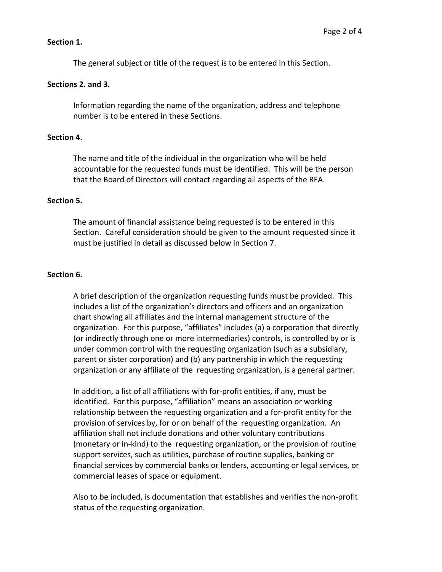### **Section 1.**

The general subject or title of the request is to be entered in this Section.

### **Sections 2. and 3.**

Information regarding the name of the organization, address and telephone number is to be entered in these Sections.

#### **Section 4.**

The name and title of the individual in the organization who will be held accountable for the requested funds must be identified. This will be the person that the Board of Directors will contact regarding all aspects of the RFA.

### **Section 5.**

The amount of financial assistance being requested is to be entered in this Section. Careful consideration should be given to the amount requested since it must be justified in detail as discussed below in Section 7.

### **Section 6.**

A brief description of the organization requesting funds must be provided. This includes a list of the organization's directors and officers and an organization chart showing all affiliates and the internal management structure of the organization. For this purpose, "affiliates" includes (a) a corporation that directly (or indirectly through one or more intermediaries) controls, is controlled by or is under common control with the requesting organization (such as a subsidiary, parent or sister corporation) and (b) any partnership in which the requesting organization or any affiliate of the requesting organization, is a general partner.

In addition, a list of all affiliations with for‐profit entities, if any, must be identified. For this purpose, "affiliation" means an association or working relationship between the requesting organization and a for‐profit entity for the provision of services by, for or on behalf of the requesting organization. An affiliation shall not include donations and other voluntary contributions (monetary or in‐kind) to the requesting organization, or the provision of routine support services, such as utilities, purchase of routine supplies, banking or financial services by commercial banks or lenders, accounting or legal services, or commercial leases of space or equipment.

Also to be included, is documentation that establishes and verifies the non‐profit status of the requesting organization.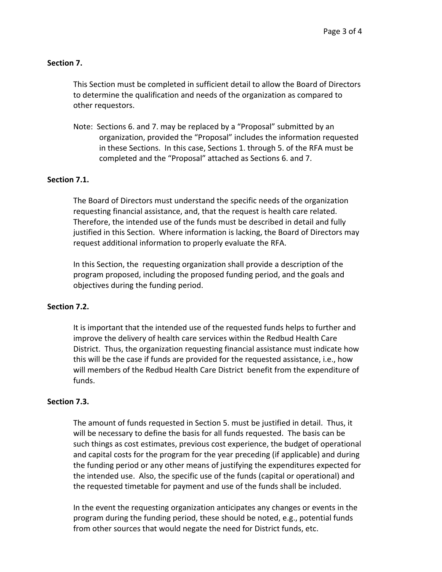### **Section 7.**

This Section must be completed in sufficient detail to allow the Board of Directors to determine the qualification and needs of the organization as compared to other requestors.

Note: Sections 6. and 7. may be replaced by a "Proposal" submitted by an organization, provided the "Proposal" includes the information requested in these Sections. In this case, Sections 1. through 5. of the RFA must be completed and the "Proposal" attached as Sections 6. and 7.

### **Section 7.1.**

The Board of Directors must understand the specific needs of the organization requesting financial assistance, and, that the request is health care related. Therefore, the intended use of the funds must be described in detail and fully justified in this Section. Where information is lacking, the Board of Directors may request additional information to properly evaluate the RFA.

In this Section, the requesting organization shall provide a description of the program proposed, including the proposed funding period, and the goals and objectives during the funding period.

#### **Section 7.2.**

It is important that the intended use of the requested funds helps to further and improve the delivery of health care services within the Redbud Health Care District. Thus, the organization requesting financial assistance must indicate how this will be the case if funds are provided for the requested assistance, i.e., how will members of the Redbud Health Care District benefit from the expenditure of funds.

#### **Section 7.3.**

The amount of funds requested in Section 5. must be justified in detail. Thus, it will be necessary to define the basis for all funds requested. The basis can be such things as cost estimates, previous cost experience, the budget of operational and capital costs for the program for the year preceding (if applicable) and during the funding period or any other means of justifying the expenditures expected for the intended use. Also, the specific use of the funds (capital or operational) and the requested timetable for payment and use of the funds shall be included.

In the event the requesting organization anticipates any changes or events in the program during the funding period, these should be noted, e.g., potential funds from other sources that would negate the need for District funds, etc.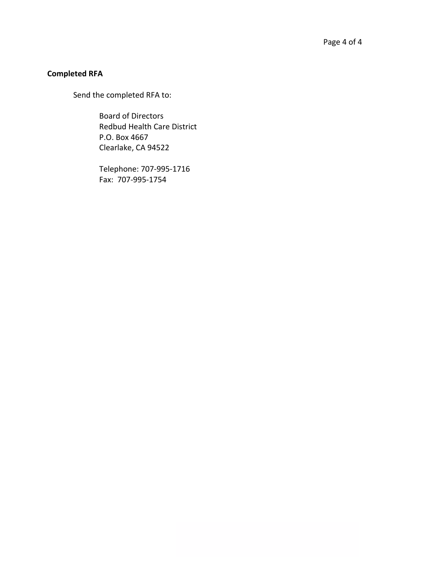# **Completed RFA**

Send the completed RFA to:

Board of Directors Redbud Health Care District P.O. Box 4667 Clearlake, CA 94522

Telephone: 707‐995‐1716 Fax: 707‐995‐1754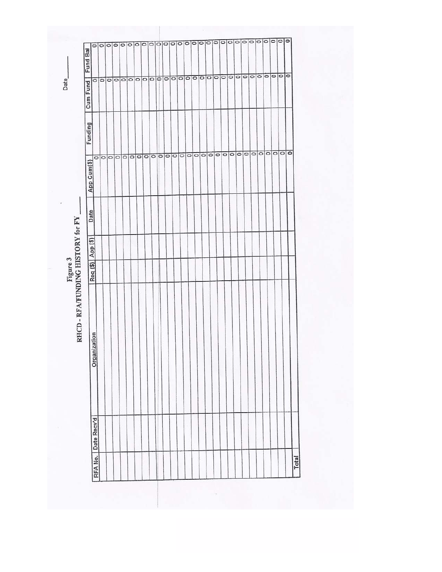${\bf Figure~3} \label{eq:1}$  RHCD - RFA/FUNDING HISTORY for FY .

J

E THE RESERVED ON THE RESERVED ON THE RESERVED ON THE RESERVED ON THE RESERVED ON THE RESERVED ON THE RESERVED ON THE RESERVED ON THE RESERVED ON THE RESERVED ON THE RESERVED ON THE RESERVED ON THE RESERVED ON THE RESERVED ᅙ Date Req (\$) App (\$) Organization RFA No. | Date Recy'd Total

Date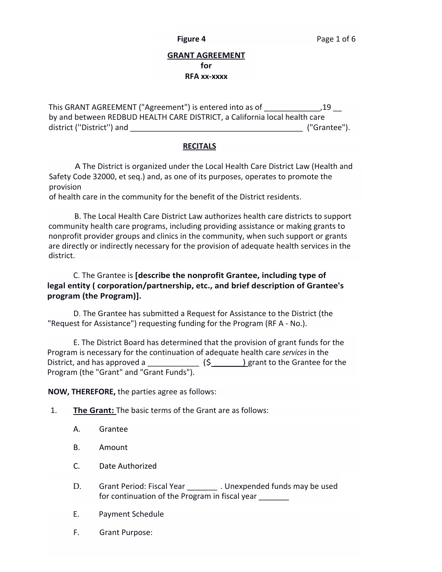### **GRANT AGREEMENT for RFA xx‐xxxx**

This GRANT AGREEMENT ("Agreement") is entered into as of  $19$ by and between REDBUD HEALTH CARE DISTRICT, a California local health care district (''District'') and \_\_\_\_\_\_\_\_\_\_\_\_\_\_\_\_\_\_\_\_\_\_\_\_\_\_\_\_\_\_\_\_\_\_\_\_\_\_\_\_ ("Grantee").

### **RECITALS**

A The District is organized under the Local Health Care District Law (Health and Safety Code 32000, et seq.) and, as one of its purposes, operates to promote the provision

of health care in the community for the benefit of the District residents.

B. The Local Health Care District Law authorizes health care districts to support community health care programs, including providing assistance or making grants to nonprofit provider groups and clinics in the community, when such support or grants are directly or indirectly necessary for the provision of adequate health services in the district.

## C. The Grantee is **[describe the nonprofit Grantee, including type of legal entity ( corporation/partnership, etc., and brief description of Grantee's program (the Program)].**

D. The Grantee has submitted a Request for Assistance to the District (the "Request for Assistance") requesting funding for the Program (RF A ‐ No.).

E. The District Board has determined that the provision of grant funds for the Program is necessary for the continuation of adequate health care *services* in the District, and has approved a \_\_\_\_\_\_\_\_\_\_\_\_\_\_\_\_ (\$\_\_\_\_\_\_\_\_) grant to the Grantee for the Program (the "Grant" and "Grant Funds").

**NOW, THEREFORE,** the parties agree as follows:

- 1. **The Grant:** The basic terms of the Grant are as follows:
	- A. Grantee
	- B. Amount
	- C. Date Authorized
	- D. Grant Period: Fiscal Year \_\_\_\_\_\_\_\_\_. Unexpended funds may be used for continuation of the Program in fiscal year
	- E. Payment Schedule
	- F. Grant Purpose: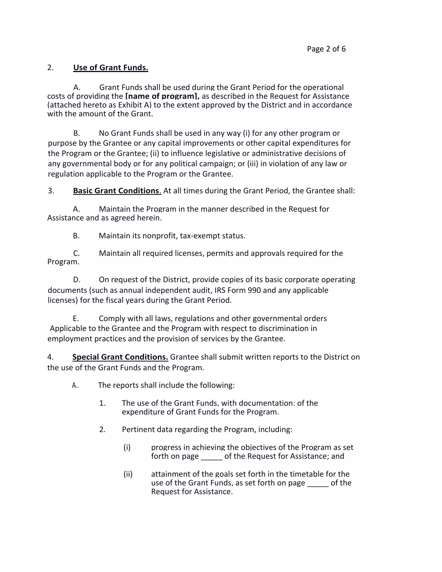# 2. **Use of Grant Funds.**

A. Grant Funds shall be used during the Grant Period for the operational costs of providing the **[name of program],** as described in the Request for Assistance (attached hereto as Exhibit A) to the extent approved by the District and in accordance with the amount of the Grant.

B. No Grant Funds shall be used in any way (i) for any other program or purpose by the Grantee or any capital improvements or other capital expenditures for the Program or the Grantee; (ii) to influence legislative or administrative decisions of any governmental body or for any political campaign; or (iii) in violation of any law or regulation applicable to the Program or the Grantee.

3. **Basic Grant Conditions**. At all times during the Grant Period, the Grantee shall:

A. Maintain the Program in the manner described in the Request for Assistance and as agreed herein.

B. Maintain its nonprofit, tax-exempt status.

C. Maintain all required licenses, permits and approvals required for the Program.

D. On request of the District, provide copies of its basic corporate operating documents (such as annual independent audit, IRS Form 990 and any applicable licenses) for the fiscal years during the Grant Period.

E. Comply with all laws, regulations and other governmental orders Applicable to the Grantee and the Program with respect to discrimination in employment practices and the provision of services by the Grantee.

4. **Special Grant Conditions.** Grantee shall submit written reports to the District on the use of the Grant Funds and the Program.

- A.. The reports shall include the following:
	- 1. The use of the Grant Funds, with documentation: of the expenditure of Grant Funds for the Program.
	- 2. Pertinent data regarding the Program, including:
		- (i) progress in achieving the objectives of the Program as set forth on page \_\_\_\_\_ of the Request for Assistance; and
		- (ii) attainment of the goals set forth in the timetable for the use of the Grant Funds, as set forth on page of the Request for Assistance.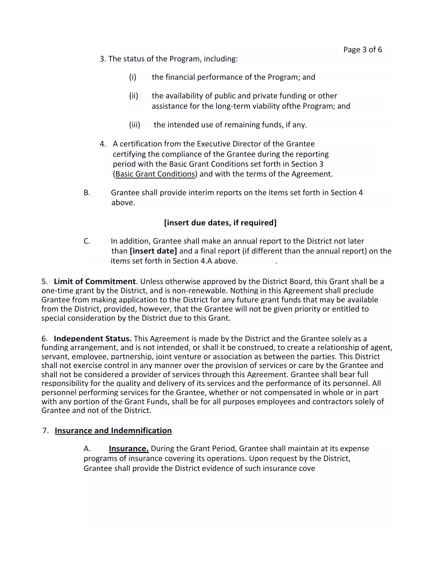- 3. The status of the Program, including:
	- (i) the financial performance of the Program; and
	- (ii) the availability of public and private funding or other assistance for the long‐term viability ofthe Program; and
	- (iii) the intended use of remaining funds, if any.
- 4. A certification from the Executive Director of the Grantee certifying the compliance of the Grantee during the reporting period with the Basic Grant Conditions set forth in Section 3 (Basic Grant Conditions) and with the terms of the Agreement.
- B. Grantee shall provide interim reports on the items set forth in Section 4 above.

# **[insert due dates, if required]**

C. In addition, Grantee shall make an annual report to the District not later than **[insert date]** and a final report (if different than the annual report) on the items set forth in Section 4.A above.

5. **Limit of Commitment**. Unless otherwise approved by the District Board, this Grant shall be a one‐time grant by the District, and is non‐renewable. Nothing in this Agreement shall preclude Grantee from making application to the District for any future grant funds that may be available from the District, provided, however, that the Grantee will not be given priority or entitled to special consideration by the District due to this Grant.

6. **Independent Status.** This Agreement is made by the District and the Grantee solely as a funding arrangement, and is not intended, or shall it be construed, to create a relationship of agent, servant, employee, partnership, joint venture or association as between the parties. This District shall not exercise control in any manner over the provision of services or care by the Grantee and shall not be considered a provider of services through this Agreement. Grantee shall bear full responsibility for the quality and delivery of its services and the performance of its personnel. All personnel performing services for the Grantee, whether or not compensated in whole or in part with any portion of the Grant Funds, shall be for all purposes employees and contractors solely of Grantee and not of the District.

### 7. **Insurance and Indemnification**

A. **Insurance.** During the Grant Period, Grantee shall maintain at its expense programs of insurance covering its operations. Upon request by the District, Grantee shall provide the District evidence of such insurance cove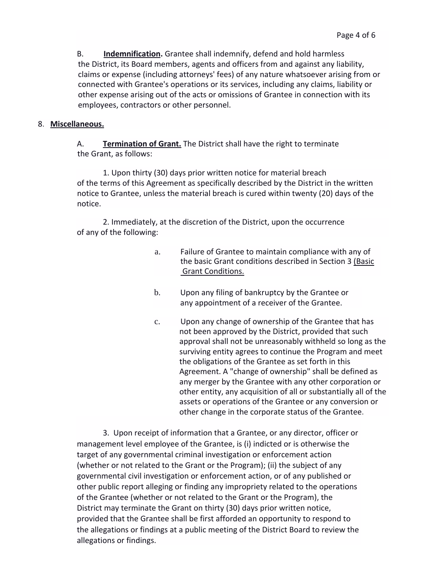B. **Indemnification.** Grantee shall indemnify, defend and hold harmless the District, its Board members, agents and officers from and against any liability, claims or expense (including attorneys' fees) of any nature whatsoever arising from or connected with Grantee's operations or its services, including any claims, liability or other expense arising out of the acts or omissions of Grantee in connection with its employees, contractors or other personnel.

### 8. **Miscellaneous.**

A. **Termination of Grant.** The District shall have the right to terminate the Grant, as follows:

1. Upon thirty (30) days prior written notice for material breach of the terms of this Agreement as specifically described by the District in the written notice to Grantee, unless the material breach is cured within twenty (20) days of the notice.

2. Immediately, at the discretion of the District, upon the occurrence of any of the following:

- a. Failure of Grantee to maintain compliance with any of the basic Grant conditions described in Section 3 (Basic Grant Conditions.
- b. Upon any filing of bankruptcy by the Grantee or any appointment of a receiver of the Grantee.
- c. Upon any change of ownership of the Grantee that has not been approved by the District, provided that such approval shall not be unreasonably withheld so long as the surviving entity agrees to continue the Program and meet the obligations of the Grantee as set forth in this Agreement. A "change of ownership" shall be defined as any merger by the Grantee with any other corporation or other entity, any acquisition of all or substantially all of the assets or operations of the Grantee or any conversion or other change in the corporate status of the Grantee.

3. Upon receipt of information that a Grantee, or any director, officer or management level employee of the Grantee, is (i) indicted or is otherwise the target of any governmental criminal investigation or enforcement action (whether or not related to the Grant or the Program); (ii) the subject of any governmental civil investigation or enforcement action, or of any published or other public report alleging or finding any impropriety related to the operations of the Grantee (whether or not related to the Grant or the Program), the District may terminate the Grant on thirty (30) days prior written notice, provided that the Grantee shall be first afforded an opportunity to respond to the allegations or findings at a public meeting of the District Board to review the allegations or findings.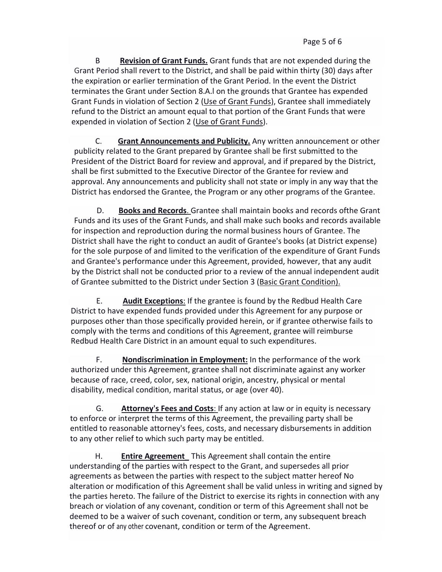B **Revision of Grant Funds.** Grant funds that are not expended during the Grant Period shall revert to the District, and shall be paid within thirty (30) days after the expiration or earlier termination of the Grant Period. In the event the District terminates the Grant under Section 8.A.l on the grounds that Grantee has expended Grant Funds in violation of Section 2 (Use of Grant Funds), Grantee shall immediately refund to the District an amount equal to that portion of the Grant Funds that were expended in violation of Section 2 (Use of Grant Funds).

C. **Grant Announcements and Publicity.** Any written announcement or other publicity related to the Grant prepared by Grantee shall be first submitted to the President of the District Board for review and approval, and if prepared by the District, shall be first submitted to the Executive Director of the Grantee for review and approval. Any announcements and publicity shall not state or imply in any way that the District has endorsed the Grantee, the Program or any other programs of the Grantee.

D. **Books and Records**. Grantee shall maintain books and records ofthe Grant Funds and its uses of the Grant Funds, and shall make such books and records available for inspection and reproduction during the normal business hours of Grantee. The District shall have the right to conduct an audit of Grantee's books (at District expense) for the sole purpose of and limited to the verification of the expenditure of Grant Funds and Grantee's performance under this Agreement, provided, however, that any audit by the District shall not be conducted prior to a review of the annual independent audit of Grantee submitted to the District under Section 3 (Basic Grant Condition).

E. **Audit Exceptions**: If the grantee is found by the Redbud Health Care District to have expended funds provided under this Agreement for any purpose or purposes other than those specifically provided herein, or if grantee otherwise fails to comply with the terms and conditions of this Agreement, grantee will reimburse Redbud Health Care District in an amount equal to such expenditures.

F. **Nondiscrimination in Employment:** In the performance of the work authorized under this Agreement, grantee shall not discriminate against any worker because of race, creed, color, sex, national origin, ancestry, physical or mental disability, medical condition, marital status, or age (over 40).

G. **Attorney's Fees and Costs**: If any action at law or in equity is necessary to enforce or interpret the terms of this Agreement, the prevailing party shall be entitled to reasonable attorney's fees, costs, and necessary disbursements in addition to any other relief to which such party may be entitled.

H. **Entire Agreement**\_ This Agreement shall contain the entire understanding of the parties with respect to the Grant, and supersedes all prior agreements as between the parties with respect to the subject matter hereof No alteration or modification of this Agreement shall be valid unless in writing and signed by the parties hereto. The failure of the District to exercise its rights in connection with any breach or violation of any covenant, condition or term of this Agreement shall not be deemed to be a waiver of such covenant, condition or term, any subsequent breach thereof or of any other covenant, condition or term of the Agreement.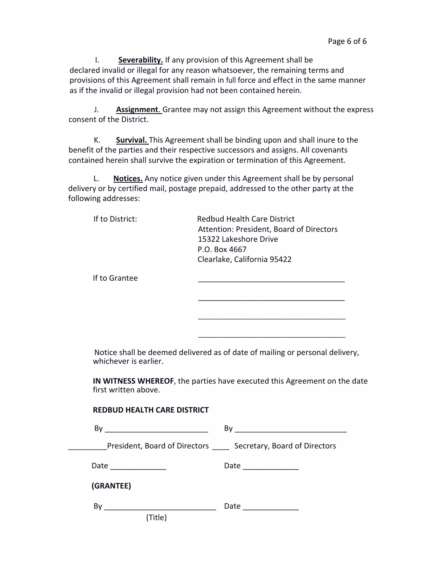I. **Severability.** If any provision of this Agreement shall be declared invalid or illegal for any reason whatsoever, the remaining terms and provisions of this Agreement shall remain in full force and effect in the same manner as if the invalid or illegal provision had not been contained herein.

J. **Assignment**. Grantee may not assign this Agreement without the express consent of the District.

K. **Survival.** This Agreement shall be binding upon and shall inure to the benefit of the parties and their respective successors and assigns. All covenants contained herein shall survive the expiration or termination of this Agreement.

L. **Notices.** Any notice given under this Agreement shall be by personal delivery or by certified mail, postage prepaid, addressed to the other party at the following addresses:

| If to District:       | <b>Redbud Health Care District</b><br>Attention: President, Board of Directors<br>15322 Lakeshore Drive<br>P.O. Box 4667<br>Clearlake, California 95422 |
|-----------------------|---------------------------------------------------------------------------------------------------------------------------------------------------------|
| If to Grantee         |                                                                                                                                                         |
|                       |                                                                                                                                                         |
|                       |                                                                                                                                                         |
|                       |                                                                                                                                                         |
|                       |                                                                                                                                                         |
| whichever is earlier. | Notice shall be deemed delivered as of date of mailing or personal delivery,                                                                            |
| first written above.  | IN WITNESS WHEREOF, the parties have executed this Agreement on the date                                                                                |

| <b>REDBUD HEALTH CARE DISTRICT</b>                          |                                                             |
|-------------------------------------------------------------|-------------------------------------------------------------|
|                                                             |                                                             |
|                                                             | President, Board of Directors Secretary, Board of Directors |
| Date ___________                                            | Date ______________                                         |
| (GRANTEE)                                                   |                                                             |
| By<br><u> 1980 - Johann Stein, mars et al. (</u><br>(Title) | Date ____________                                           |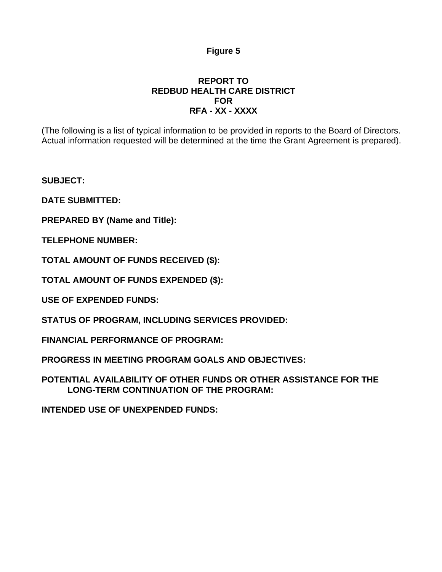# **Figure 5**

# **REPORT TO REDBUD HEALTH CARE DISTRICT FOR RFA - XX - XXXX**

(The following is a list of typical information to be provided in reports to the Board of Directors. Actual information requested will be determined at the time the Grant Agreement is prepared).

**SUBJECT:** 

**DATE SUBMITTED:** 

**PREPARED BY (Name and Title):** 

**TELEPHONE NUMBER:** 

**TOTAL AMOUNT OF FUNDS RECEIVED (\$):** 

**TOTAL AMOUNT OF FUNDS EXPENDED (\$):** 

**USE OF EXPENDED FUNDS:** 

**STATUS OF PROGRAM, INCLUDING SERVICES PROVIDED:** 

**FINANCIAL PERFORMANCE OF PROGRAM:** 

**PROGRESS IN MEETING PROGRAM GOALS AND OBJECTIVES:** 

**POTENTIAL AVAILABILITY OF OTHER FUNDS OR OTHER ASSISTANCE FOR THE LONG-TERM CONTINUATION OF THE PROGRAM:** 

**INTENDED USE OF UNEXPENDED FUNDS:**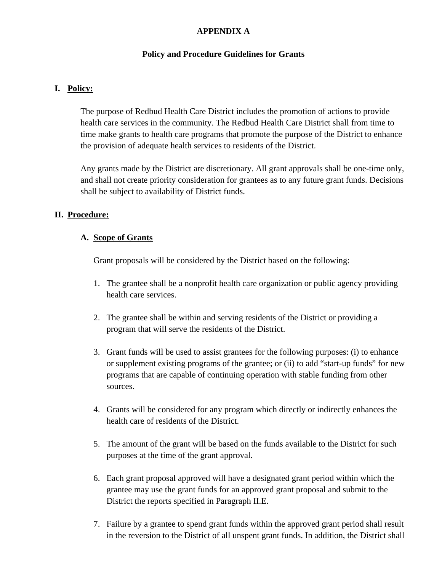# **APPENDIX A**

### **Policy and Procedure Guidelines for Grants**

## **I. Policy:**

The purpose of Redbud Health Care District includes the promotion of actions to provide health care services in the community. The Redbud Health Care District shall from time to time make grants to health care programs that promote the purpose of the District to enhance the provision of adequate health services to residents of the District.

Any grants made by the District are discretionary. All grant approvals shall be one-time only, and shall not create priority consideration for grantees as to any future grant funds. Decisions shall be subject to availability of District funds.

### **II. Procedure:**

### **A. Scope of Grants**

Grant proposals will be considered by the District based on the following:

- 1. The grantee shall be a nonprofit health care organization or public agency providing health care services.
- 2. The grantee shall be within and serving residents of the District or providing a program that will serve the residents of the District.
- 3. Grant funds will be used to assist grantees for the following purposes: (i) to enhance or supplement existing programs of the grantee; or (ii) to add "start-up funds" for new programs that are capable of continuing operation with stable funding from other sources.
- 4. Grants will be considered for any program which directly or indirectly enhances the health care of residents of the District.
- 5. The amount of the grant will be based on the funds available to the District for such purposes at the time of the grant approval.
- 6. Each grant proposal approved will have a designated grant period within which the grantee may use the grant funds for an approved grant proposal and submit to the District the reports specified in Paragraph II.E.
- 7. Failure by a grantee to spend grant funds within the approved grant period shall result in the reversion to the District of all unspent grant funds. In addition, the District shall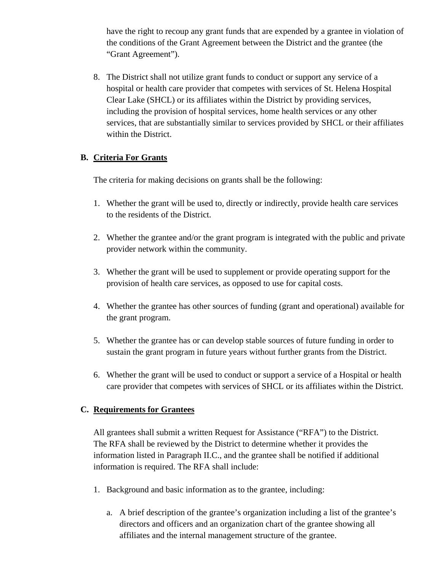have the right to recoup any grant funds that are expended by a grantee in violation of the conditions of the Grant Agreement between the District and the grantee (the "Grant Agreement").

8. The District shall not utilize grant funds to conduct or support any service of a hospital or health care provider that competes with services of St. Helena Hospital Clear Lake (SHCL) or its affiliates within the District by providing services, including the provision of hospital services, home health services or any other services, that are substantially similar to services provided by SHCL or their affiliates within the District.

### **B. Criteria For Grants**

The criteria for making decisions on grants shall be the following:

- 1. Whether the grant will be used to, directly or indirectly, provide health care services to the residents of the District.
- 2. Whether the grantee and/or the grant program is integrated with the public and private provider network within the community.
- 3. Whether the grant will be used to supplement or provide operating support for the provision of health care services, as opposed to use for capital costs.
- 4. Whether the grantee has other sources of funding (grant and operational) available for the grant program.
- 5. Whether the grantee has or can develop stable sources of future funding in order to sustain the grant program in future years without further grants from the District.
- 6. Whether the grant will be used to conduct or support a service of a Hospital or health care provider that competes with services of SHCL or its affiliates within the District.

# **C. Requirements for Grantees**

All grantees shall submit a written Request for Assistance ("RFA") to the District. The RFA shall be reviewed by the District to determine whether it provides the information listed in Paragraph II.C., and the grantee shall be notified if additional information is required. The RFA shall include:

- 1. Background and basic information as to the grantee, including:
	- a. A brief description of the grantee's organization including a list of the grantee's directors and officers and an organization chart of the grantee showing all affiliates and the internal management structure of the grantee.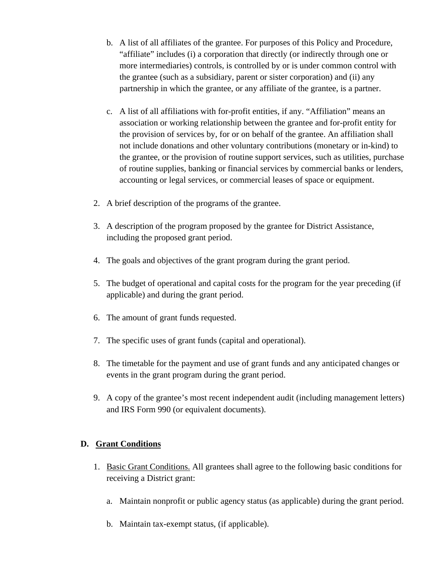- b. A list of all affiliates of the grantee. For purposes of this Policy and Procedure, "affiliate" includes (i) a corporation that directly (or indirectly through one or more intermediaries) controls, is controlled by or is under common control with the grantee (such as a subsidiary, parent or sister corporation) and (ii) any partnership in which the grantee, or any affiliate of the grantee, is a partner.
- c. A list of all affiliations with for-profit entities, if any. "Affiliation" means an association or working relationship between the grantee and for-profit entity for the provision of services by, for or on behalf of the grantee. An affiliation shall not include donations and other voluntary contributions (monetary or in-kind) to the grantee, or the provision of routine support services, such as utilities, purchase of routine supplies, banking or financial services by commercial banks or lenders, accounting or legal services, or commercial leases of space or equipment.
- 2. A brief description of the programs of the grantee.
- 3. A description of the program proposed by the grantee for District Assistance, including the proposed grant period.
- 4. The goals and objectives of the grant program during the grant period.
- 5. The budget of operational and capital costs for the program for the year preceding (if applicable) and during the grant period.
- 6. The amount of grant funds requested.
- 7. The specific uses of grant funds (capital and operational).
- 8. The timetable for the payment and use of grant funds and any anticipated changes or events in the grant program during the grant period.
- 9. A copy of the grantee's most recent independent audit (including management letters) and IRS Form 990 (or equivalent documents).

# **D. Grant Conditions**

- 1. Basic Grant Conditions. All grantees shall agree to the following basic conditions for receiving a District grant:
	- a. Maintain nonprofit or public agency status (as applicable) during the grant period.
	- b. Maintain tax-exempt status, (if applicable).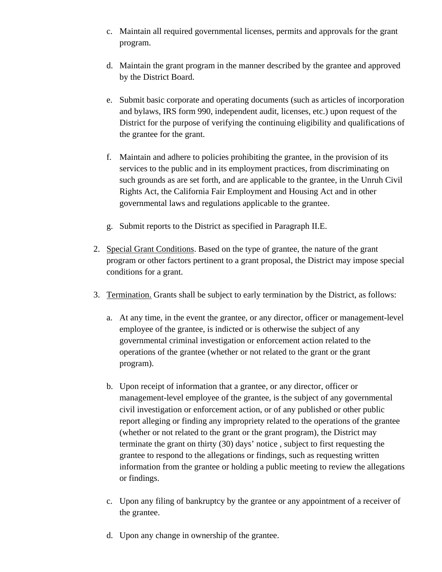- c. Maintain all required governmental licenses, permits and approvals for the grant program.
- d. Maintain the grant program in the manner described by the grantee and approved by the District Board.
- e. Submit basic corporate and operating documents (such as articles of incorporation and bylaws, IRS form 990, independent audit, licenses, etc.) upon request of the District for the purpose of verifying the continuing eligibility and qualifications of the grantee for the grant.
- f. Maintain and adhere to policies prohibiting the grantee, in the provision of its services to the public and in its employment practices, from discriminating on such grounds as are set forth, and are applicable to the grantee, in the Unruh Civil Rights Act, the California Fair Employment and Housing Act and in other governmental laws and regulations applicable to the grantee.
- g. Submit reports to the District as specified in Paragraph II.E.
- 2. Special Grant Conditions. Based on the type of grantee, the nature of the grant program or other factors pertinent to a grant proposal, the District may impose special conditions for a grant.
- 3. Termination. Grants shall be subject to early termination by the District, as follows:
	- a. At any time, in the event the grantee, or any director, officer or management-level employee of the grantee, is indicted or is otherwise the subject of any governmental criminal investigation or enforcement action related to the operations of the grantee (whether or not related to the grant or the grant program).
	- b. Upon receipt of information that a grantee, or any director, officer or management-level employee of the grantee, is the subject of any governmental civil investigation or enforcement action, or of any published or other public report alleging or finding any impropriety related to the operations of the grantee (whether or not related to the grant or the grant program), the District may terminate the grant on thirty (30) days' notice , subject to first requesting the grantee to respond to the allegations or findings, such as requesting written information from the grantee or holding a public meeting to review the allegations or findings.
	- c. Upon any filing of bankruptcy by the grantee or any appointment of a receiver of the grantee.
	- d. Upon any change in ownership of the grantee.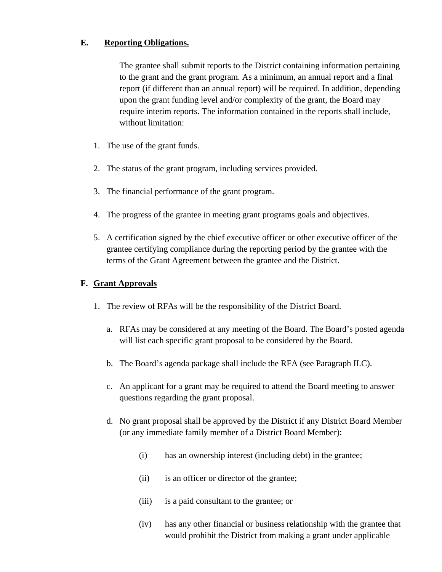### **E. Reporting Obligations.**

The grantee shall submit reports to the District containing information pertaining to the grant and the grant program. As a minimum, an annual report and a final report (if different than an annual report) will be required. In addition, depending upon the grant funding level and/or complexity of the grant, the Board may require interim reports. The information contained in the reports shall include, without limitation:

- 1. The use of the grant funds.
- 2. The status of the grant program, including services provided.
- 3. The financial performance of the grant program.
- 4. The progress of the grantee in meeting grant programs goals and objectives.
- 5. A certification signed by the chief executive officer or other executive officer of the grantee certifying compliance during the reporting period by the grantee with the terms of the Grant Agreement between the grantee and the District.

# **F. Grant Approvals**

- 1. The review of RFAs will be the responsibility of the District Board.
	- a. RFAs may be considered at any meeting of the Board. The Board's posted agenda will list each specific grant proposal to be considered by the Board.
	- b. The Board's agenda package shall include the RFA (see Paragraph II.C).
	- c. An applicant for a grant may be required to attend the Board meeting to answer questions regarding the grant proposal.
	- d. No grant proposal shall be approved by the District if any District Board Member (or any immediate family member of a District Board Member):
		- (i) has an ownership interest (including debt) in the grantee;
		- (ii) is an officer or director of the grantee;
		- (iii) is a paid consultant to the grantee; or
		- (iv) has any other financial or business relationship with the grantee that would prohibit the District from making a grant under applicable